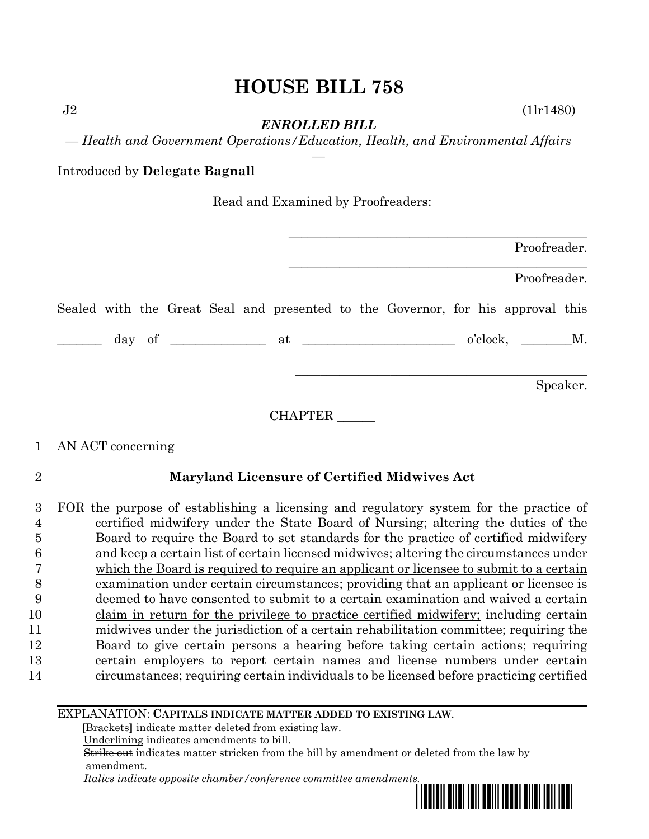*ENROLLED BILL*

 $J2$  (1lr1480)

*— Health and Government Operations/Education, Health, and Environmental Affairs —*

Introduced by **Delegate Bagnall**

Read and Examined by Proofreaders:

|  |  |  |         |  |                                                                                 |  | Proofreader.     |          |
|--|--|--|---------|--|---------------------------------------------------------------------------------|--|------------------|----------|
|  |  |  |         |  |                                                                                 |  | Proofreader.     |          |
|  |  |  |         |  | Sealed with the Great Seal and presented to the Governor, for his approval this |  |                  |          |
|  |  |  |         |  |                                                                                 |  | $o'clock, \t M.$ |          |
|  |  |  |         |  |                                                                                 |  |                  | Speaker. |
|  |  |  | CHAPTER |  |                                                                                 |  |                  |          |

# 1 AN ACT concerning

## 2 **Maryland Licensure of Certified Midwives Act**

 FOR the purpose of establishing a licensing and regulatory system for the practice of certified midwifery under the State Board of Nursing; altering the duties of the Board to require the Board to set standards for the practice of certified midwifery and keep a certain list of certain licensed midwives; altering the circumstances under which the Board is required to require an applicant or licensee to submit to a certain examination under certain circumstances; providing that an applicant or licensee is deemed to have consented to submit to a certain examination and waived a certain claim in return for the privilege to practice certified midwifery; including certain midwives under the jurisdiction of a certain rehabilitation committee; requiring the Board to give certain persons a hearing before taking certain actions; requiring certain employers to report certain names and license numbers under certain circumstances; requiring certain individuals to be licensed before practicing certified

### EXPLANATION: **CAPITALS INDICATE MATTER ADDED TO EXISTING LAW**.

 **[**Brackets**]** indicate matter deleted from existing law.

Underlining indicates amendments to bill.

 Strike out indicates matter stricken from the bill by amendment or deleted from the law by amendment.

 *Italics indicate opposite chamber/conference committee amendments.*

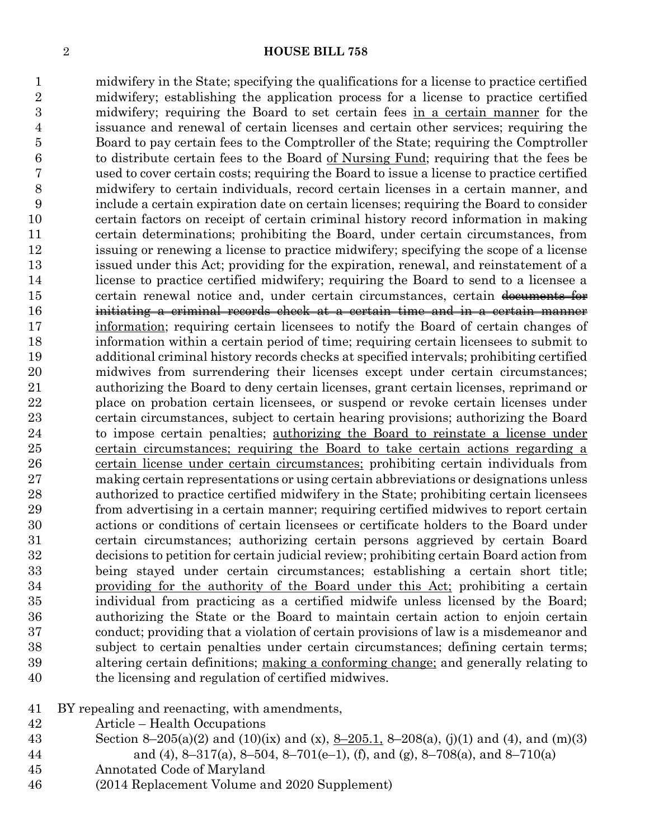midwifery in the State; specifying the qualifications for a license to practice certified midwifery; establishing the application process for a license to practice certified midwifery; requiring the Board to set certain fees in a certain manner for the issuance and renewal of certain licenses and certain other services; requiring the Board to pay certain fees to the Comptroller of the State; requiring the Comptroller to distribute certain fees to the Board of Nursing Fund; requiring that the fees be used to cover certain costs; requiring the Board to issue a license to practice certified midwifery to certain individuals, record certain licenses in a certain manner, and include a certain expiration date on certain licenses; requiring the Board to consider certain factors on receipt of certain criminal history record information in making certain determinations; prohibiting the Board, under certain circumstances, from issuing or renewing a license to practice midwifery; specifying the scope of a license issued under this Act; providing for the expiration, renewal, and reinstatement of a license to practice certified midwifery; requiring the Board to send to a licensee a 15 certain renewal notice and, under certain circumstances, certain documents for initiating a criminal records check at a certain time and in a certain manner information; requiring certain licensees to notify the Board of certain changes of information within a certain period of time; requiring certain licensees to submit to additional criminal history records checks at specified intervals; prohibiting certified midwives from surrendering their licenses except under certain circumstances; authorizing the Board to deny certain licenses, grant certain licenses, reprimand or place on probation certain licensees, or suspend or revoke certain licenses under certain circumstances, subject to certain hearing provisions; authorizing the Board 24 to impose certain penalties; <u>authorizing the Board to reinstate a license under</u> certain circumstances; requiring the Board to take certain actions regarding a 26 certain license under certain circumstances; prohibiting certain individuals from making certain representations or using certain abbreviations or designations unless authorized to practice certified midwifery in the State; prohibiting certain licensees from advertising in a certain manner; requiring certified midwives to report certain actions or conditions of certain licensees or certificate holders to the Board under certain circumstances; authorizing certain persons aggrieved by certain Board decisions to petition for certain judicial review; prohibiting certain Board action from being stayed under certain circumstances; establishing a certain short title; 34 providing for the authority of the Board under this Act; prohibiting a certain individual from practicing as a certified midwife unless licensed by the Board; authorizing the State or the Board to maintain certain action to enjoin certain conduct; providing that a violation of certain provisions of law is a misdemeanor and subject to certain penalties under certain circumstances; defining certain terms; 39 altering certain definitions; making a conforming change; and generally relating to the licensing and regulation of certified midwives.

BY repealing and reenacting, with amendments,

- Article Health Occupations
- 43 Section 8–205(a)(2) and (10)(ix) and (x),  $8-205.1$ ,  $8-208(a)$ , (j)(1) and (4), and (m)(3) 44 and (4), 8–317(a), 8–504, 8–701(e–1), (f), and (g), 8–708(a), and 8–710(a)
- Annotated Code of Maryland
- (2014 Replacement Volume and 2020 Supplement)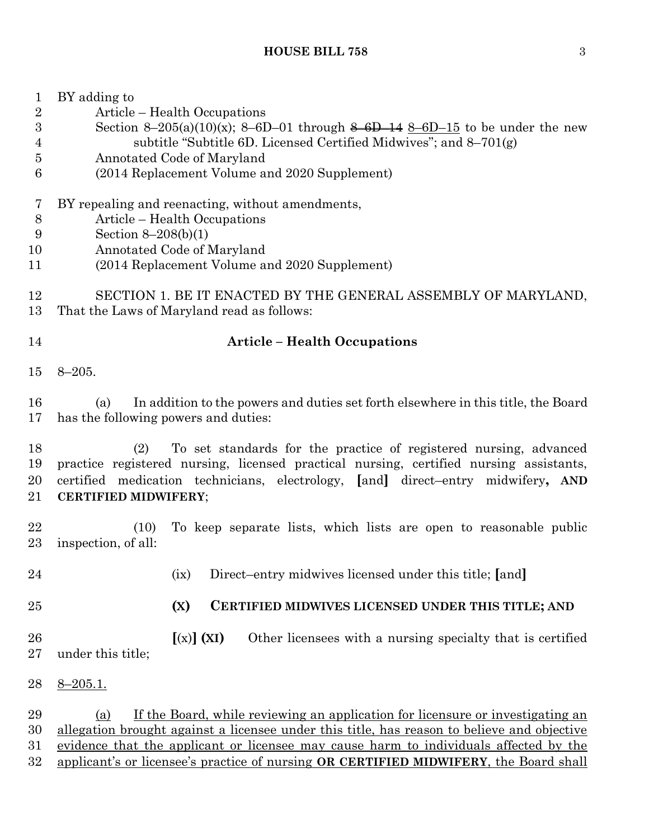| $\mathbf 1$<br>$\sqrt{2}$<br>$\boldsymbol{3}$<br>4<br>$\overline{5}$<br>6 | BY adding to<br>Article – Health Occupations<br>Section 8-205(a)(10)(x); 8-6D-01 through 8-6D-14 8-6D-15 to be under the new<br>subtitle "Subtitle 6D. Licensed Certified Midwives"; and 8-701(g)<br>Annotated Code of Maryland<br>(2014 Replacement Volume and 2020 Supplement)                                                                                       |
|---------------------------------------------------------------------------|------------------------------------------------------------------------------------------------------------------------------------------------------------------------------------------------------------------------------------------------------------------------------------------------------------------------------------------------------------------------|
| 7<br>$8\,$<br>9<br>10<br>11                                               | BY repealing and reenacting, without amendments,<br>Article – Health Occupations<br>Section $8-208(b)(1)$<br>Annotated Code of Maryland<br>(2014 Replacement Volume and 2020 Supplement)                                                                                                                                                                               |
| 12<br>13                                                                  | SECTION 1. BE IT ENACTED BY THE GENERAL ASSEMBLY OF MARYLAND,<br>That the Laws of Maryland read as follows:                                                                                                                                                                                                                                                            |
| 14                                                                        | <b>Article - Health Occupations</b>                                                                                                                                                                                                                                                                                                                                    |
| 15                                                                        | $8 - 205.$                                                                                                                                                                                                                                                                                                                                                             |
| 16<br>17                                                                  | In addition to the powers and duties set forth elsewhere in this title, the Board<br>(a)<br>has the following powers and duties:                                                                                                                                                                                                                                       |
| 18<br>19<br>20<br>21                                                      | To set standards for the practice of registered nursing, advanced<br>(2)<br>practice registered nursing, licensed practical nursing, certified nursing assistants,<br>certified medication technicians, electrology, [and] direct-entry midwifery, AND<br><b>CERTIFIED MIDWIFERY;</b>                                                                                  |
| 22<br>23                                                                  | To keep separate lists, which lists are open to reasonable public<br>(10)<br>inspection, of all:                                                                                                                                                                                                                                                                       |
| 24                                                                        | Direct-entry midwives licensed under this title; [and]<br>(ix)                                                                                                                                                                                                                                                                                                         |
| 25                                                                        | (X)<br>CERTIFIED MIDWIVES LICENSED UNDER THIS TITLE; AND                                                                                                                                                                                                                                                                                                               |
| 26<br>27                                                                  | $[(x)]$ (XI)<br>Other licensees with a nursing specialty that is certified<br>under this title;                                                                                                                                                                                                                                                                        |
| 28                                                                        | $8 - 205.1.$                                                                                                                                                                                                                                                                                                                                                           |
| 29<br>30<br>31<br>32                                                      | If the Board, while reviewing an application for licensure or investigating an<br>(a)<br>allegation brought against a licensee under this title, has reason to believe and objective<br>evidence that the applicant or licensee may cause harm to individuals affected by the<br>applicant's or licensee's practice of nursing OR CERTIFIED MIDWIFERY, the Board shall |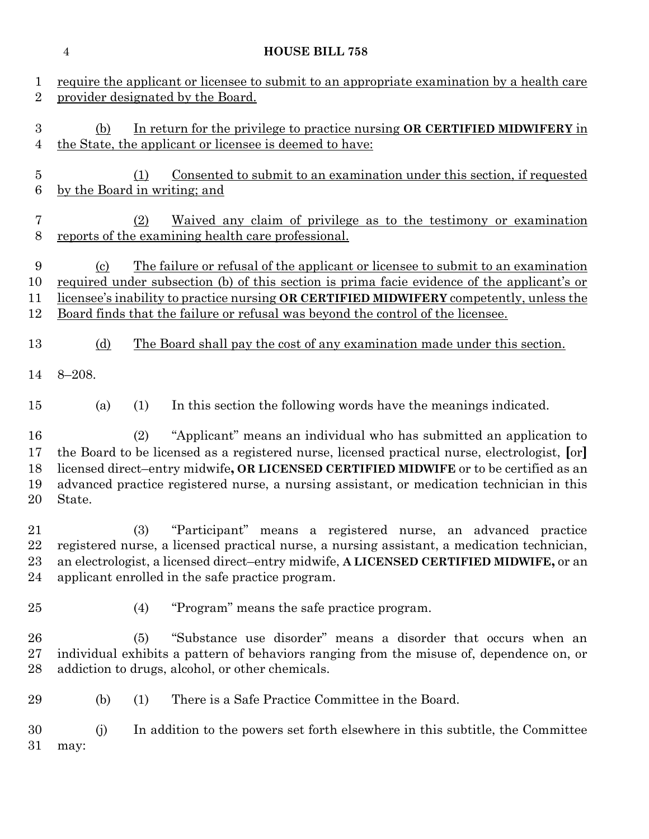|                            | $\overline{4}$               |     | <b>HOUSE BILL 758</b>                                                                                                                                                                                                                                                                                                                                               |
|----------------------------|------------------------------|-----|---------------------------------------------------------------------------------------------------------------------------------------------------------------------------------------------------------------------------------------------------------------------------------------------------------------------------------------------------------------------|
| 1<br>$\overline{2}$        |                              |     | require the applicant or licensee to submit to an appropriate examination by a health care<br>provider designated by the Board.                                                                                                                                                                                                                                     |
| 3<br>$\overline{4}$        | (b)                          |     | In return for the privilege to practice nursing OR CERTIFIED MIDWIFERY in<br>the State, the applicant or licensee is deemed to have:                                                                                                                                                                                                                                |
| $\overline{5}$<br>6        | by the Board in writing; and | (1) | <u>Consented to submit to an examination under this section, if requested</u>                                                                                                                                                                                                                                                                                       |
| 7<br>8                     |                              | (2) | <u>Waived any claim of privilege as to the testimony or examination</u><br>reports of the examining health care professional.                                                                                                                                                                                                                                       |
| 9<br>10<br>11<br>12        | $\left( \mathrm{c}\right)$   |     | The failure or refusal of the applicant or licensee to submit to an examination<br><u>required under subsection (b) of this section is prima facie evidence of the applicant's or</u><br>licensee's inability to practice nursing OR CERTIFIED MIDWIFERY competently, unless the<br>Board finds that the failure or refusal was beyond the control of the licensee. |
| 13                         | (d)                          |     | <u>The Board shall pay the cost of any examination made under this section.</u>                                                                                                                                                                                                                                                                                     |
| 14                         | $8 - 208.$                   |     |                                                                                                                                                                                                                                                                                                                                                                     |
| 15                         | (a)                          | (1) | In this section the following words have the meanings indicated.                                                                                                                                                                                                                                                                                                    |
| 16<br>17<br>18<br>19<br>20 | State.                       | (2) | "Applicant" means an individual who has submitted an application to<br>the Board to be licensed as a registered nurse, licensed practical nurse, electrologist, [or]<br>licensed direct-entry midwife, OR LICENSED CERTIFIED MIDWIFE or to be certified as an<br>advanced practice registered nurse, a nursing assistant, or medication technician in this          |
| 21<br>22<br>23<br>24       |                              | (3) | "Participant" means a registered nurse, an advanced practice<br>registered nurse, a licensed practical nurse, a nursing assistant, a medication technician,<br>an electrologist, a licensed direct-entry midwife, A LICENSED CERTIFIED MIDWIFE, or an<br>applicant enrolled in the safe practice program.                                                           |
| 25                         |                              | (4) | "Program" means the safe practice program.                                                                                                                                                                                                                                                                                                                          |
| 26<br>$27\,$<br>28         |                              | (5) | "Substance use disorder" means a disorder that occurs when an<br>individual exhibits a pattern of behaviors ranging from the misuse of, dependence on, or<br>addiction to drugs, alcohol, or other chemicals.                                                                                                                                                       |
| 29                         | (b)                          | (1) | There is a Safe Practice Committee in the Board.                                                                                                                                                                                                                                                                                                                    |
| 30<br>$31\,$               | (i)<br>may:                  |     | In addition to the powers set forth elsewhere in this subtitle, the Committee                                                                                                                                                                                                                                                                                       |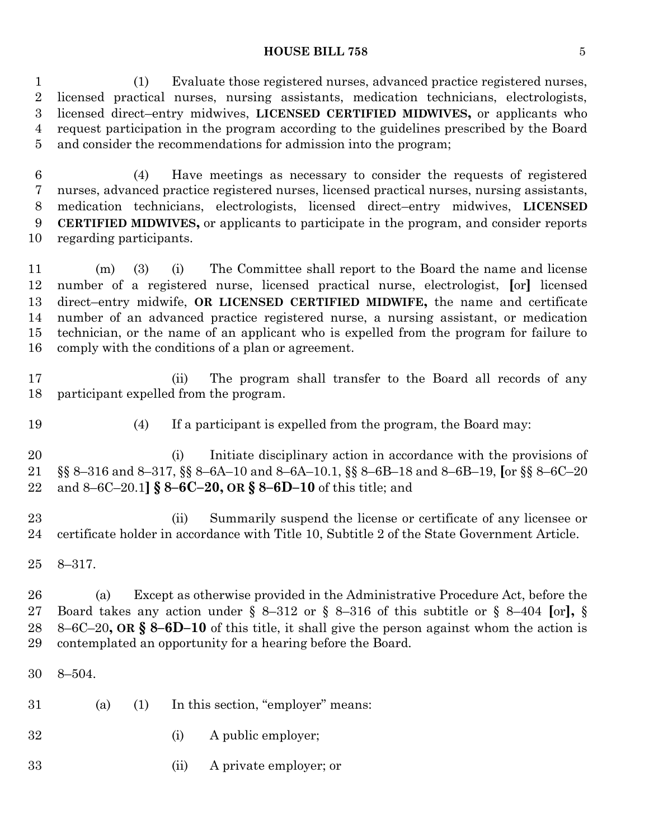(1) Evaluate those registered nurses, advanced practice registered nurses, licensed practical nurses, nursing assistants, medication technicians, electrologists, licensed direct–entry midwives, **LICENSED CERTIFIED MIDWIVES,** or applicants who request participation in the program according to the guidelines prescribed by the Board and consider the recommendations for admission into the program;

 (4) Have meetings as necessary to consider the requests of registered nurses, advanced practice registered nurses, licensed practical nurses, nursing assistants, medication technicians, electrologists, licensed direct–entry midwives, **LICENSED CERTIFIED MIDWIVES,** or applicants to participate in the program, and consider reports regarding participants.

 (m) (3) (i) The Committee shall report to the Board the name and license number of a registered nurse, licensed practical nurse, electrologist, **[**or**]** licensed direct–entry midwife, **OR LICENSED CERTIFIED MIDWIFE,** the name and certificate number of an advanced practice registered nurse, a nursing assistant, or medication technician, or the name of an applicant who is expelled from the program for failure to comply with the conditions of a plan or agreement.

 (ii) The program shall transfer to the Board all records of any participant expelled from the program.

(4) If a participant is expelled from the program, the Board may:

 (i) Initiate disciplinary action in accordance with the provisions of §§ 8–316 and 8–317, §§ 8–6A–10 and 8–6A–10.1, §§ 8–6B–18 and 8–6B–19, **[**or §§ 8–6C–20 and 8–6C–20.1**] § 8–6C–20, OR § 8–6D–10** of this title; and

 (ii) Summarily suspend the license or certificate of any licensee or certificate holder in accordance with Title 10, Subtitle 2 of the State Government Article.

8–317.

 (a) Except as otherwise provided in the Administrative Procedure Act, before the Board takes any action under § 8–312 or § 8–316 of this subtitle or § 8–404 **[**or**],** § 8–6C–20**, OR § 8–6D–10** of this title, it shall give the person against whom the action is contemplated an opportunity for a hearing before the Board.

8–504.

- (a) (1) In this section, "employer" means:
- (i) A public employer;
- (ii) A private employer; or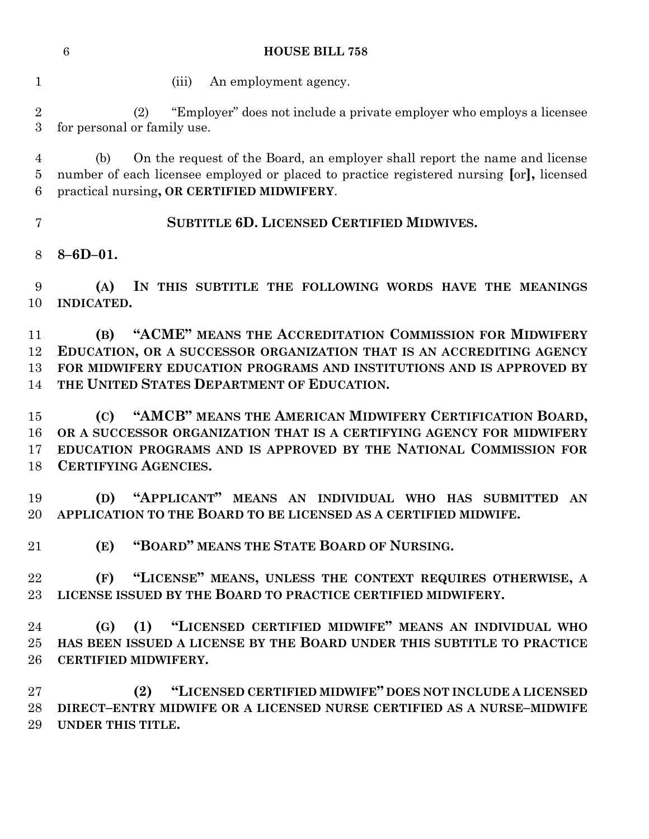|                                | $6\phantom{1}6$<br><b>HOUSE BILL 758</b>                                                                                                                                                                                                                     |
|--------------------------------|--------------------------------------------------------------------------------------------------------------------------------------------------------------------------------------------------------------------------------------------------------------|
| 1                              | (iii)<br>An employment agency.                                                                                                                                                                                                                               |
| $\sqrt{2}$<br>3                | "Employer" does not include a private employer who employs a licensee<br>(2)<br>for personal or family use.                                                                                                                                                  |
| $\overline{4}$<br>$\bf 5$<br>6 | On the request of the Board, an employer shall report the name and license<br>(b)<br>number of each licensee employed or placed to practice registered nursing [or], licensed<br>practical nursing, OR CERTIFIED MIDWIFERY.                                  |
| 7                              | <b>SUBTITLE 6D. LICENSED CERTIFIED MIDWIVES.</b>                                                                                                                                                                                                             |
| 8                              | $8 - 6D - 01.$                                                                                                                                                                                                                                               |
| 9<br>10                        | IN THIS SUBTITLE THE FOLLOWING WORDS HAVE THE MEANINGS<br>(A)<br><b>INDICATED.</b>                                                                                                                                                                           |
| 11<br>12<br>13<br>14           | "ACME" MEANS THE ACCREDITATION COMMISSION FOR MIDWIFERY<br>(B)<br>EDUCATION, OR A SUCCESSOR ORGANIZATION THAT IS AN ACCREDITING AGENCY<br>FOR MIDWIFERY EDUCATION PROGRAMS AND INSTITUTIONS AND IS APPROVED BY<br>THE UNITED STATES DEPARTMENT OF EDUCATION. |
| 15<br>16<br>17<br>18           | "AMCB" MEANS THE AMERICAN MIDWIFERY CERTIFICATION BOARD,<br>(C)<br>OR A SUCCESSOR ORGANIZATION THAT IS A CERTIFYING AGENCY FOR MIDWIFERY<br>EDUCATION PROGRAMS AND IS APPROVED BY THE NATIONAL COMMISSION FOR<br><b>CERTIFYING AGENCIES.</b>                 |

 **(D) "APPLICANT" MEANS AN INDIVIDUAL WHO HAS SUBMITTED AN APPLICATION TO THE BOARD TO BE LICENSED AS A CERTIFIED MIDWIFE.**

**(E) "BOARD" MEANS THE STATE BOARD OF NURSING.**

 **(F) "LICENSE" MEANS, UNLESS THE CONTEXT REQUIRES OTHERWISE, A LICENSE ISSUED BY THE BOARD TO PRACTICE CERTIFIED MIDWIFERY.**

 **(G) (1) "LICENSED CERTIFIED MIDWIFE" MEANS AN INDIVIDUAL WHO HAS BEEN ISSUED A LICENSE BY THE BOARD UNDER THIS SUBTITLE TO PRACTICE CERTIFIED MIDWIFERY.**

 **(2) "LICENSED CERTIFIED MIDWIFE" DOES NOT INCLUDE A LICENSED DIRECT–ENTRY MIDWIFE OR A LICENSED NURSE CERTIFIED AS A NURSE–MIDWIFE UNDER THIS TITLE.**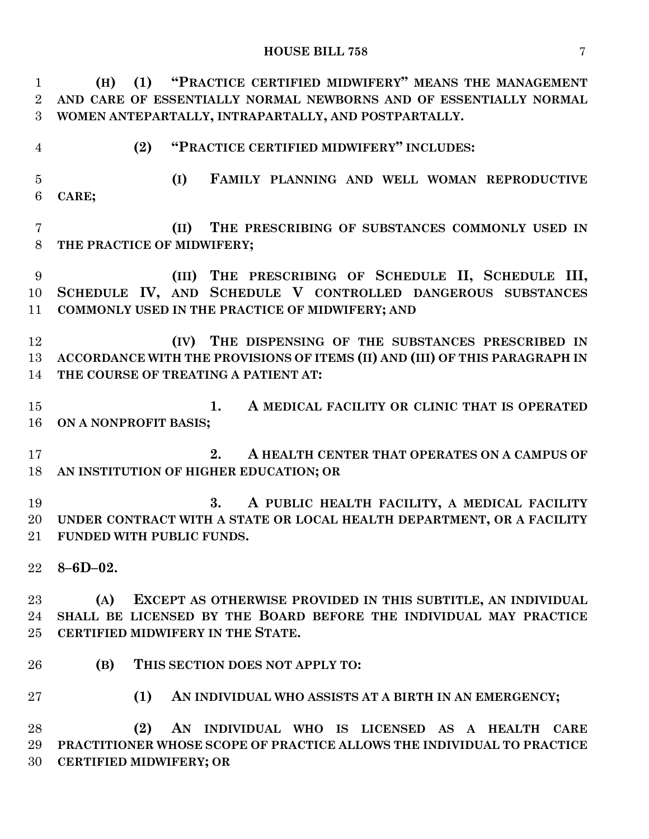| $\mathbf{1}$   | "PRACTICE CERTIFIED MIDWIFERY" MEANS THE MANAGEMENT<br>(1)<br>(H)                                                               |
|----------------|---------------------------------------------------------------------------------------------------------------------------------|
| $\overline{2}$ | AND CARE OF ESSENTIALLY NORMAL NEWBORNS AND OF ESSENTIALLY NORMAL                                                               |
| 3              | WOMEN ANTEPARTALLY, INTRAPARTALLY, AND POSTPARTALLY.                                                                            |
| $\overline{4}$ | "PRACTICE CERTIFIED MIDWIFERY" INCLUDES:<br>(2)                                                                                 |
| $\overline{5}$ | (I)<br>FAMILY PLANNING AND WELL WOMAN REPRODUCTIVE                                                                              |
| 6              | CARE;                                                                                                                           |
|                |                                                                                                                                 |
| $\overline{7}$ | THE PRESCRIBING OF SUBSTANCES COMMONLY USED IN<br>(II)                                                                          |
| 8              | THE PRACTICE OF MIDWIFERY;                                                                                                      |
| 9              | (III) THE PRESCRIBING OF SCHEDULE II, SCHEDULE III,                                                                             |
| 10             | SCHEDULE IV, AND SCHEDULE V CONTROLLED DANGEROUS SUBSTANCES                                                                     |
| 11             | COMMONLY USED IN THE PRACTICE OF MIDWIFERY; AND                                                                                 |
|                |                                                                                                                                 |
| 12             | (IV) THE DISPENSING OF THE SUBSTANCES PRESCRIBED IN                                                                             |
| 13             | ACCORDANCE WITH THE PROVISIONS OF ITEMS (II) AND (III) OF THIS PARAGRAPH IN                                                     |
| 14             | THE COURSE OF TREATING A PATIENT AT:                                                                                            |
| 15             | 1.<br>A MEDICAL FACILITY OR CLINIC THAT IS OPERATED                                                                             |
| 16             | ON A NONPROFIT BASIS;                                                                                                           |
|                |                                                                                                                                 |
| 17             | A HEALTH CENTER THAT OPERATES ON A CAMPUS OF<br>2.                                                                              |
| 18             | AN INSTITUTION OF HIGHER EDUCATION; OR                                                                                          |
|                |                                                                                                                                 |
| 19             | 3.<br>A PUBLIC HEALTH FACILITY, A MEDICAL FACILITY                                                                              |
| 20             | UNDER CONTRACT WITH A STATE OR LOCAL HEALTH DEPARTMENT, OR A FACILITY                                                           |
| $21\,$         | <b>FUNDED WITH PUBLIC FUNDS.</b>                                                                                                |
| $22\,$         | $8 - 6D - 02.$                                                                                                                  |
|                |                                                                                                                                 |
| $23\,$         | EXCEPT AS OTHERWISE PROVIDED IN THIS SUBTITLE, AN INDIVIDUAL<br>(A)                                                             |
| 24             | SHALL BE LICENSED BY THE BOARD BEFORE THE INDIVIDUAL MAY PRACTICE                                                               |
| $25\,$         | CERTIFIED MIDWIFERY IN THE STATE.                                                                                               |
|                |                                                                                                                                 |
| 26             | (B)<br>THIS SECTION DOES NOT APPLY TO:                                                                                          |
| $27\,$         | (1)<br>AN INDIVIDUAL WHO ASSISTS AT A BIRTH IN AN EMERGENCY;                                                                    |
|                |                                                                                                                                 |
| 28             | (2)<br>AN INDIVIDUAL WHO IS LICENSED AS A HEALTH CARE<br>PRACTITIONER WHOSE SCOPE OF PRACTICE ALLOWS THE INDIVIDUAL TO PRACTICE |
| 29<br>30       | <b>CERTIFIED MIDWIFERY; OR</b>                                                                                                  |
|                |                                                                                                                                 |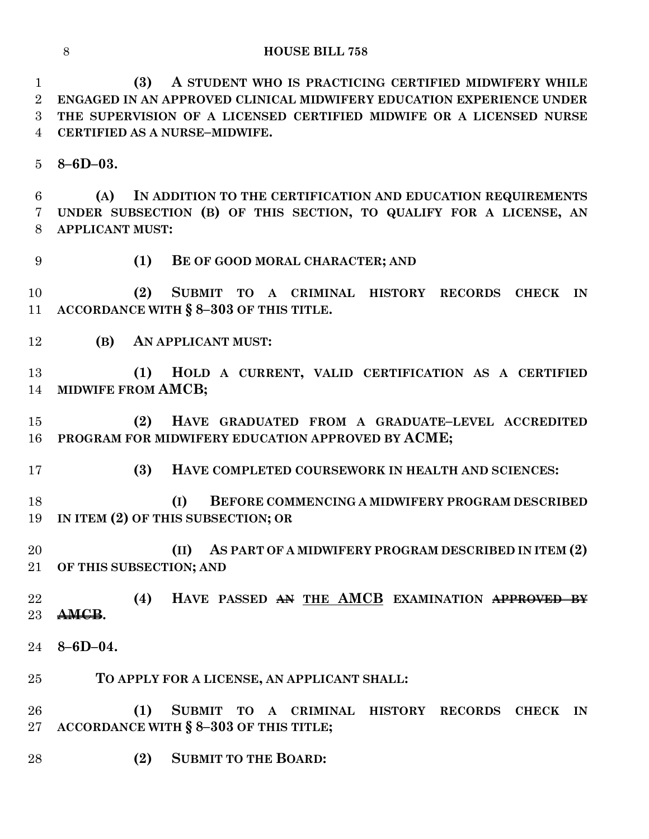**(3) A STUDENT WHO IS PRACTICING CERTIFIED MIDWIFERY WHILE ENGAGED IN AN APPROVED CLINICAL MIDWIFERY EDUCATION EXPERIENCE UNDER THE SUPERVISION OF A LICENSED CERTIFIED MIDWIFE OR A LICENSED NURSE CERTIFIED AS A NURSE–MIDWIFE.**

**8–6D–03.**

 **(A) IN ADDITION TO THE CERTIFICATION AND EDUCATION REQUIREMENTS UNDER SUBSECTION (B) OF THIS SECTION, TO QUALIFY FOR A LICENSE, AN APPLICANT MUST:**

**(1) BE OF GOOD MORAL CHARACTER; AND**

 **(2) SUBMIT TO A CRIMINAL HISTORY RECORDS CHECK IN ACCORDANCE WITH § 8–303 OF THIS TITLE.**

**(B) AN APPLICANT MUST:**

 **(1) HOLD A CURRENT, VALID CERTIFICATION AS A CERTIFIED MIDWIFE FROM AMCB;** 

 **(2) HAVE GRADUATED FROM A GRADUATE–LEVEL ACCREDITED PROGRAM FOR MIDWIFERY EDUCATION APPROVED BY ACME;**

**(3) HAVE COMPLETED COURSEWORK IN HEALTH AND SCIENCES:**

 **(I) BEFORE COMMENCING A MIDWIFERY PROGRAM DESCRIBED IN ITEM (2) OF THIS SUBSECTION; OR**

 **(II) AS PART OF A MIDWIFERY PROGRAM DESCRIBED IN ITEM (2) OF THIS SUBSECTION; AND**

 **(4) HAVE PASSED AN THE AMCB EXAMINATION APPROVED BY AMCB.**

- **8–6D–04.**
- **TO APPLY FOR A LICENSE, AN APPLICANT SHALL:**

 **(1) SUBMIT TO A CRIMINAL HISTORY RECORDS CHECK IN ACCORDANCE WITH § 8–303 OF THIS TITLE;**

**(2) SUBMIT TO THE BOARD:**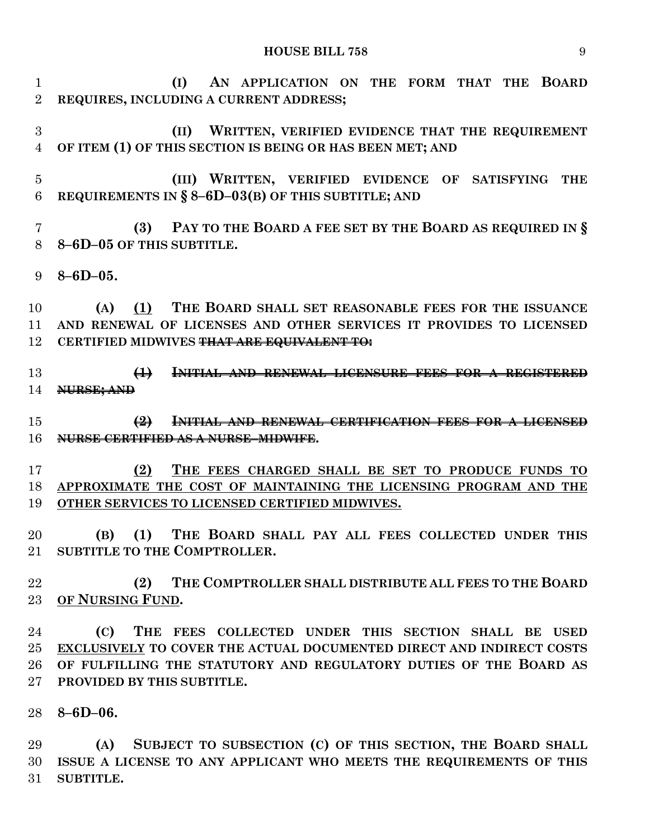**(I) AN APPLICATION ON THE FORM THAT THE BOARD REQUIRES, INCLUDING A CURRENT ADDRESS;**

 **(II) WRITTEN, VERIFIED EVIDENCE THAT THE REQUIREMENT OF ITEM (1) OF THIS SECTION IS BEING OR HAS BEEN MET; AND**

 **(III) WRITTEN, VERIFIED EVIDENCE OF SATISFYING THE REQUIREMENTS IN § 8–6D–03(B) OF THIS SUBTITLE; AND**

 **(3) PAY TO THE BOARD A FEE SET BY THE BOARD AS REQUIRED IN § 8–6D–05 OF THIS SUBTITLE.**

**8–6D–05.**

 **(A) (1) THE BOARD SHALL SET REASONABLE FEES FOR THE ISSUANCE AND RENEWAL OF LICENSES AND OTHER SERVICES IT PROVIDES TO LICENSED CERTIFIED MIDWIVES THAT ARE EQUIVALENT TO:**

 **(1) INITIAL AND RENEWAL LICENSURE FEES FOR A REGISTERED NURSE; AND**

 **(2) INITIAL AND RENEWAL CERTIFICATION FEES FOR A LICENSED NURSE CERTIFIED AS A NURSE–MIDWIFE.**

 **(2) THE FEES CHARGED SHALL BE SET TO PRODUCE FUNDS TO APPROXIMATE THE COST OF MAINTAINING THE LICENSING PROGRAM AND THE OTHER SERVICES TO LICENSED CERTIFIED MIDWIVES.**

 **(B) (1) THE BOARD SHALL PAY ALL FEES COLLECTED UNDER THIS SUBTITLE TO THE COMPTROLLER.**

 **(2) THE COMPTROLLER SHALL DISTRIBUTE ALL FEES TO THE BOARD OF NURSING FUND.**

 **(C) THE FEES COLLECTED UNDER THIS SECTION SHALL BE USED EXCLUSIVELY TO COVER THE ACTUAL DOCUMENTED DIRECT AND INDIRECT COSTS OF FULFILLING THE STATUTORY AND REGULATORY DUTIES OF THE BOARD AS PROVIDED BY THIS SUBTITLE.**

**8–6D–06.**

 **(A) SUBJECT TO SUBSECTION (C) OF THIS SECTION, THE BOARD SHALL ISSUE A LICENSE TO ANY APPLICANT WHO MEETS THE REQUIREMENTS OF THIS SUBTITLE.**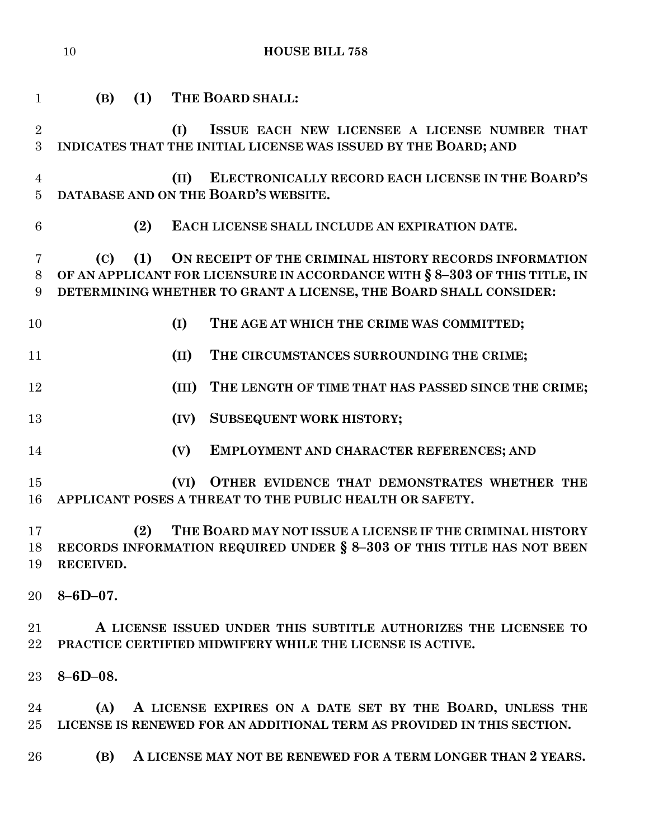| $\mathbf{1}$                     | (B)             | (1) |       | THE BOARD SHALL:                                                                                                                                                                                          |
|----------------------------------|-----------------|-----|-------|-----------------------------------------------------------------------------------------------------------------------------------------------------------------------------------------------------------|
| $\overline{2}$<br>3              |                 |     | (I)   | ISSUE EACH NEW LICENSEE A LICENSE NUMBER THAT<br>INDICATES THAT THE INITIAL LICENSE WAS ISSUED BY THE BOARD; AND                                                                                          |
| $\overline{4}$<br>$\overline{5}$ |                 |     | (II)  | ELECTRONICALLY RECORD EACH LICENSE IN THE BOARD'S<br>DATABASE AND ON THE BOARD'S WEBSITE.                                                                                                                 |
| 6                                |                 | (2) |       | EACH LICENSE SHALL INCLUDE AN EXPIRATION DATE.                                                                                                                                                            |
| 7<br>8<br>9                      | (C)             | (1) |       | ON RECEIPT OF THE CRIMINAL HISTORY RECORDS INFORMATION<br>OF AN APPLICANT FOR LICENSURE IN ACCORDANCE WITH § 8-303 OF THIS TITLE, IN<br>DETERMINING WHETHER TO GRANT A LICENSE, THE BOARD SHALL CONSIDER: |
| 10                               |                 |     | (I)   | THE AGE AT WHICH THE CRIME WAS COMMITTED;                                                                                                                                                                 |
| 11                               |                 |     | (II)  | THE CIRCUMSTANCES SURROUNDING THE CRIME;                                                                                                                                                                  |
| 12                               |                 |     | (III) | THE LENGTH OF TIME THAT HAS PASSED SINCE THE CRIME;                                                                                                                                                       |
| 13                               |                 |     | (IV)  | <b>SUBSEQUENT WORK HISTORY;</b>                                                                                                                                                                           |
| 14                               |                 |     | (V)   | EMPLOYMENT AND CHARACTER REFERENCES; AND                                                                                                                                                                  |
| 15<br>16                         |                 |     | (VI)  | OTHER EVIDENCE THAT DEMONSTRATES WHETHER THE<br>APPLICANT POSES A THREAT TO THE PUBLIC HEALTH OR SAFETY.                                                                                                  |
| 17<br>18<br>19                   | RECEIVED.       | (2) |       | THE BOARD MAY NOT ISSUE A LICENSE IF THE CRIMINAL HISTORY<br>RECORDS INFORMATION REQUIRED UNDER § 8-303 OF THIS TITLE HAS NOT BEEN                                                                        |
| 20                               | $8 - 6D - 07$ . |     |       |                                                                                                                                                                                                           |
| 21<br>22                         |                 |     |       | A LICENSE ISSUED UNDER THIS SUBTITLE AUTHORIZES THE LICENSEE TO<br>PRACTICE CERTIFIED MIDWIFERY WHILE THE LICENSE IS ACTIVE.                                                                              |
| 23                               | $8 - 6D - 08.$  |     |       |                                                                                                                                                                                                           |
| 24<br>25 <sub>1</sub>            |                 |     |       | (A) A LICENSE EXPIRES ON A DATE SET BY THE BOARD, UNLESS THE<br>LICENSE IS RENEWED FOR AN ADDITIONAL TERM AS PROVIDED IN THIS SECTION.                                                                    |
| 26                               | (B)             |     |       | A LICENSE MAY NOT BE RENEWED FOR A TERM LONGER THAN 2 YEARS.                                                                                                                                              |
|                                  |                 |     |       |                                                                                                                                                                                                           |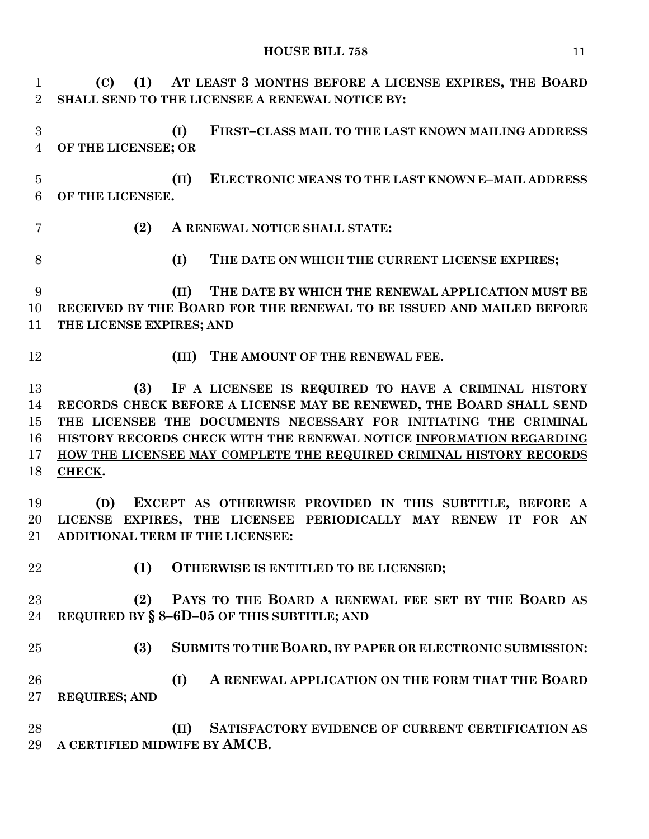**(C) (1) AT LEAST 3 MONTHS BEFORE A LICENSE EXPIRES, THE BOARD SHALL SEND TO THE LICENSEE A RENEWAL NOTICE BY: (I) FIRST–CLASS MAIL TO THE LAST KNOWN MAILING ADDRESS OF THE LICENSEE; OR (II) ELECTRONIC MEANS TO THE LAST KNOWN E–MAIL ADDRESS OF THE LICENSEE. (2) A RENEWAL NOTICE SHALL STATE: (I) THE DATE ON WHICH THE CURRENT LICENSE EXPIRES; (II) THE DATE BY WHICH THE RENEWAL APPLICATION MUST BE RECEIVED BY THE BOARD FOR THE RENEWAL TO BE ISSUED AND MAILED BEFORE THE LICENSE EXPIRES; AND (III) THE AMOUNT OF THE RENEWAL FEE. (3) IF A LICENSEE IS REQUIRED TO HAVE A CRIMINAL HISTORY RECORDS CHECK BEFORE A LICENSE MAY BE RENEWED, THE BOARD SHALL SEND THE LICENSEE THE DOCUMENTS NECESSARY FOR INITIATING THE CRIMINAL HISTORY RECORDS CHECK WITH THE RENEWAL NOTICE INFORMATION REGARDING HOW THE LICENSEE MAY COMPLETE THE REQUIRED CRIMINAL HISTORY RECORDS CHECK. (D) EXCEPT AS OTHERWISE PROVIDED IN THIS SUBTITLE, BEFORE A LICENSE EXPIRES, THE LICENSEE PERIODICALLY MAY RENEW IT FOR AN ADDITIONAL TERM IF THE LICENSEE: (1) OTHERWISE IS ENTITLED TO BE LICENSED; (2) PAYS TO THE BOARD A RENEWAL FEE SET BY THE BOARD AS REQUIRED BY § 8–6D–05 OF THIS SUBTITLE; AND (3) SUBMITS TO THE BOARD, BY PAPER OR ELECTRONIC SUBMISSION: (I) A RENEWAL APPLICATION ON THE FORM THAT THE BOARD REQUIRES; AND (II) SATISFACTORY EVIDENCE OF CURRENT CERTIFICATION AS A CERTIFIED MIDWIFE BY AMCB.**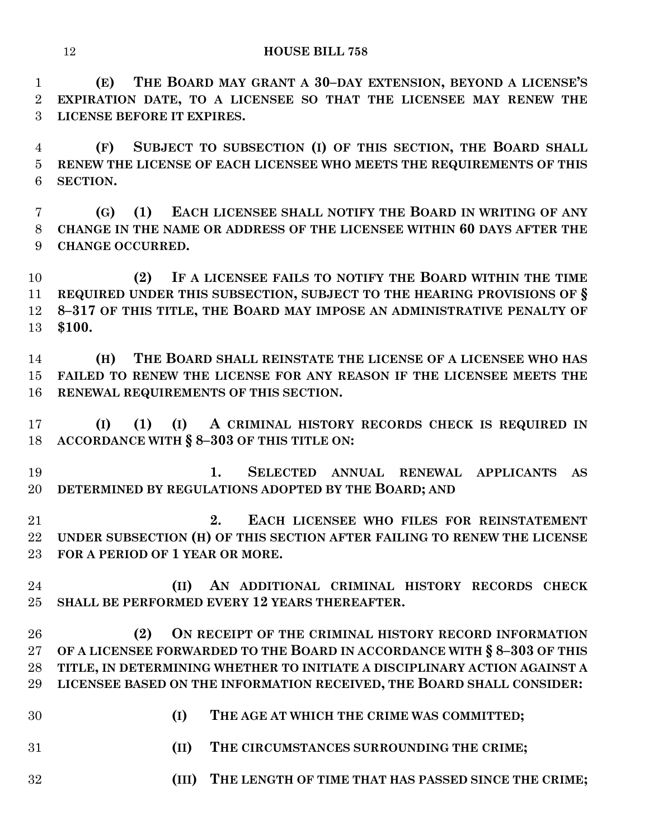**(E) THE BOARD MAY GRANT A 30–DAY EXTENSION, BEYOND A LICENSE'S EXPIRATION DATE, TO A LICENSEE SO THAT THE LICENSEE MAY RENEW THE LICENSE BEFORE IT EXPIRES.**

 **(F) SUBJECT TO SUBSECTION (I) OF THIS SECTION, THE BOARD SHALL RENEW THE LICENSE OF EACH LICENSEE WHO MEETS THE REQUIREMENTS OF THIS SECTION.**

 **(G) (1) EACH LICENSEE SHALL NOTIFY THE BOARD IN WRITING OF ANY CHANGE IN THE NAME OR ADDRESS OF THE LICENSEE WITHIN 60 DAYS AFTER THE CHANGE OCCURRED.**

 **(2) IF A LICENSEE FAILS TO NOTIFY THE BOARD WITHIN THE TIME REQUIRED UNDER THIS SUBSECTION, SUBJECT TO THE HEARING PROVISIONS OF § 8–317 OF THIS TITLE, THE BOARD MAY IMPOSE AN ADMINISTRATIVE PENALTY OF \$100.**

 **(H) THE BOARD SHALL REINSTATE THE LICENSE OF A LICENSEE WHO HAS FAILED TO RENEW THE LICENSE FOR ANY REASON IF THE LICENSEE MEETS THE RENEWAL REQUIREMENTS OF THIS SECTION.**

 **(I) (1) (I) A CRIMINAL HISTORY RECORDS CHECK IS REQUIRED IN ACCORDANCE WITH § 8–303 OF THIS TITLE ON:**

 **1. SELECTED ANNUAL RENEWAL APPLICANTS AS DETERMINED BY REGULATIONS ADOPTED BY THE BOARD; AND**

 **2. EACH LICENSEE WHO FILES FOR REINSTATEMENT UNDER SUBSECTION (H) OF THIS SECTION AFTER FAILING TO RENEW THE LICENSE FOR A PERIOD OF 1 YEAR OR MORE.**

 **(II) AN ADDITIONAL CRIMINAL HISTORY RECORDS CHECK SHALL BE PERFORMED EVERY 12 YEARS THEREAFTER.**

 **(2) ON RECEIPT OF THE CRIMINAL HISTORY RECORD INFORMATION OF A LICENSEE FORWARDED TO THE BOARD IN ACCORDANCE WITH § 8–303 OF THIS TITLE, IN DETERMINING WHETHER TO INITIATE A DISCIPLINARY ACTION AGAINST A LICENSEE BASED ON THE INFORMATION RECEIVED, THE BOARD SHALL CONSIDER:**

- **(I) THE AGE AT WHICH THE CRIME WAS COMMITTED;**
- **(II) THE CIRCUMSTANCES SURROUNDING THE CRIME;**
- **(III) THE LENGTH OF TIME THAT HAS PASSED SINCE THE CRIME;**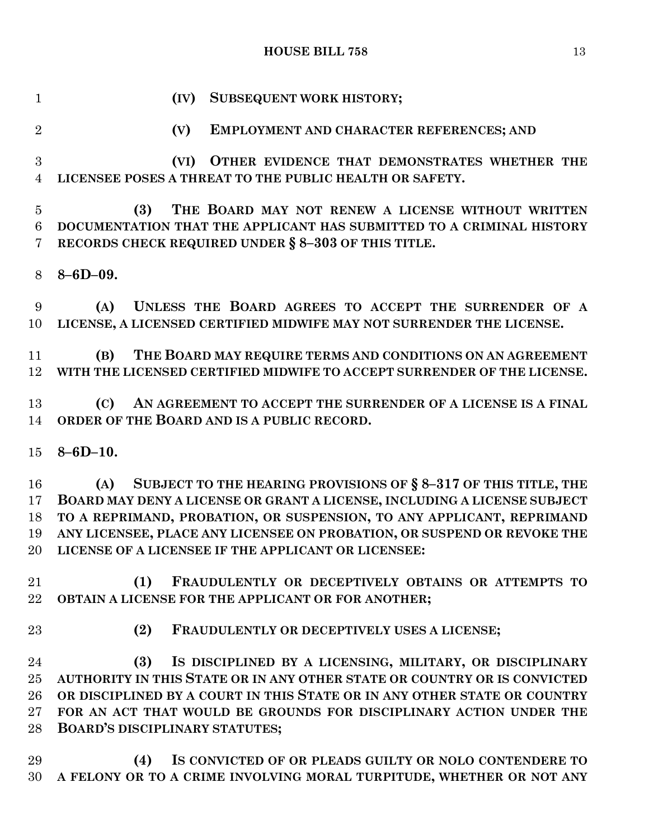**(IV) SUBSEQUENT WORK HISTORY; (V) EMPLOYMENT AND CHARACTER REFERENCES; AND (VI) OTHER EVIDENCE THAT DEMONSTRATES WHETHER THE LICENSEE POSES A THREAT TO THE PUBLIC HEALTH OR SAFETY. (3) THE BOARD MAY NOT RENEW A LICENSE WITHOUT WRITTEN DOCUMENTATION THAT THE APPLICANT HAS SUBMITTED TO A CRIMINAL HISTORY RECORDS CHECK REQUIRED UNDER § 8–303 OF THIS TITLE. 8–6D–09. (A) UNLESS THE BOARD AGREES TO ACCEPT THE SURRENDER OF A LICENSE, A LICENSED CERTIFIED MIDWIFE MAY NOT SURRENDER THE LICENSE. (B) THE BOARD MAY REQUIRE TERMS AND CONDITIONS ON AN AGREEMENT WITH THE LICENSED CERTIFIED MIDWIFE TO ACCEPT SURRENDER OF THE LICENSE. (C) AN AGREEMENT TO ACCEPT THE SURRENDER OF A LICENSE IS A FINAL ORDER OF THE BOARD AND IS A PUBLIC RECORD. 8–6D–10. (A) SUBJECT TO THE HEARING PROVISIONS OF § 8–317 OF THIS TITLE, THE BOARD MAY DENY A LICENSE OR GRANT A LICENSE, INCLUDING A LICENSE SUBJECT TO A REPRIMAND, PROBATION, OR SUSPENSION, TO ANY APPLICANT, REPRIMAND ANY LICENSEE, PLACE ANY LICENSEE ON PROBATION, OR SUSPEND OR REVOKE THE LICENSE OF A LICENSEE IF THE APPLICANT OR LICENSEE: (1) FRAUDULENTLY OR DECEPTIVELY OBTAINS OR ATTEMPTS TO OBTAIN A LICENSE FOR THE APPLICANT OR FOR ANOTHER; (2) FRAUDULENTLY OR DECEPTIVELY USES A LICENSE; (3) IS DISCIPLINED BY A LICENSING, MILITARY, OR DISCIPLINARY AUTHORITY IN THIS STATE OR IN ANY OTHER STATE OR COUNTRY OR IS CONVICTED OR DISCIPLINED BY A COURT IN THIS STATE OR IN ANY OTHER STATE OR COUNTRY FOR AN ACT THAT WOULD BE GROUNDS FOR DISCIPLINARY ACTION UNDER THE BOARD'S DISCIPLINARY STATUTES; (4) IS CONVICTED OF OR PLEADS GUILTY OR NOLO CONTENDERE TO A FELONY OR TO A CRIME INVOLVING MORAL TURPITUDE, WHETHER OR NOT ANY**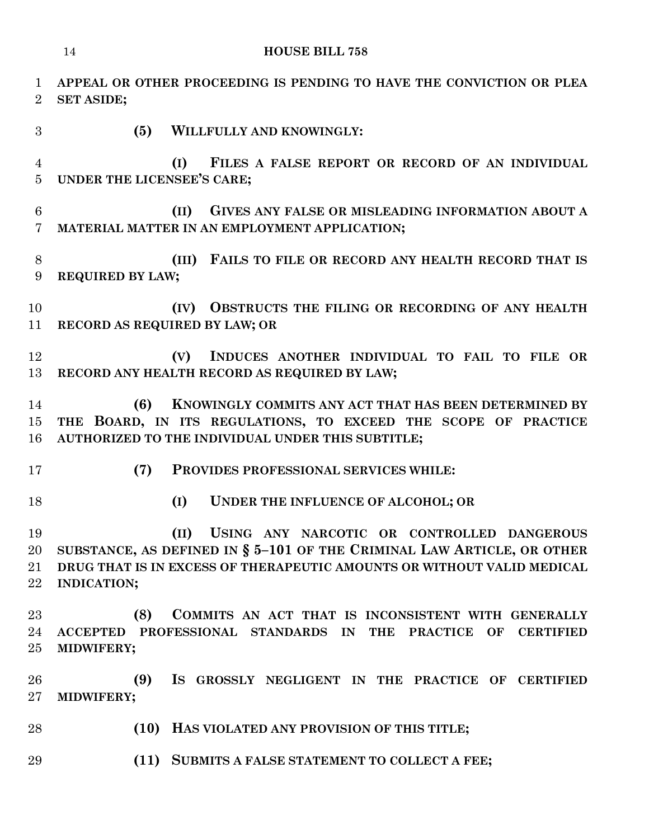| $\mathbf{1}$<br>$\overline{2}$ | APPEAL OR OTHER PROCEEDING IS PENDING TO HAVE THE CONVICTION OR PLEA<br><b>SET ASIDE;</b>                                                                                                                                    |
|--------------------------------|------------------------------------------------------------------------------------------------------------------------------------------------------------------------------------------------------------------------------|
| 3                              | (5)<br>WILLFULLY AND KNOWINGLY:                                                                                                                                                                                              |
| 4<br>$\overline{5}$            | FILES A FALSE REPORT OR RECORD OF AN INDIVIDUAL<br>(I)<br>UNDER THE LICENSEE'S CARE;                                                                                                                                         |
| 6<br>7                         | GIVES ANY FALSE OR MISLEADING INFORMATION ABOUT A<br>(II)<br>MATERIAL MATTER IN AN EMPLOYMENT APPLICATION;                                                                                                                   |
| 8<br>9                         | FAILS TO FILE OR RECORD ANY HEALTH RECORD THAT IS<br>(III)<br><b>REQUIRED BY LAW;</b>                                                                                                                                        |
| 10<br>11                       | OBSTRUCTS THE FILING OR RECORDING OF ANY HEALTH<br>(IV)<br>RECORD AS REQUIRED BY LAW; OR                                                                                                                                     |
| 12<br>13                       | INDUCES ANOTHER INDIVIDUAL TO FAIL TO FILE OR<br>(V)<br>RECORD ANY HEALTH RECORD AS REQUIRED BY LAW;                                                                                                                         |
| 14<br>15<br>16                 | KNOWINGLY COMMITS ANY ACT THAT HAS BEEN DETERMINED BY<br>(6)<br>THE BOARD, IN ITS REGULATIONS, TO EXCEED THE SCOPE OF PRACTICE<br>AUTHORIZED TO THE INDIVIDUAL UNDER THIS SUBTITLE;                                          |
| 17                             | (7)<br>PROVIDES PROFESSIONAL SERVICES WHILE:                                                                                                                                                                                 |
| 18                             | (I)<br>UNDER THE INFLUENCE OF ALCOHOL; OR                                                                                                                                                                                    |
| 19<br>20<br>$21\,$<br>$22\,$   | (II) USING ANY NARCOTIC OR CONTROLLED DANGEROUS<br>SUBSTANCE, AS DEFINED IN $\S$ 5-101 OF THE CRIMINAL LAW ARTICLE, OR OTHER<br>DRUG THAT IS IN EXCESS OF THERAPEUTIC AMOUNTS OR WITHOUT VALID MEDICAL<br><b>INDICATION;</b> |
| 23<br>24<br>25                 | COMMITS AN ACT THAT IS INCONSISTENT WITH GENERALLY<br>(8)<br>PROFESSIONAL STANDARDS IN THE PRACTICE OF<br><b>ACCEPTED</b><br><b>CERTIFIED</b><br>MIDWIFERY;                                                                  |
| 26<br>$27\,$                   | (9)<br>IS GROSSLY NEGLIGENT IN THE PRACTICE OF CERTIFIED<br>MIDWIFERY;                                                                                                                                                       |
| 28                             | (10)<br>HAS VIOLATED ANY PROVISION OF THIS TITLE;                                                                                                                                                                            |
| 29                             | (11) SUBMITS A FALSE STATEMENT TO COLLECT A FEE;                                                                                                                                                                             |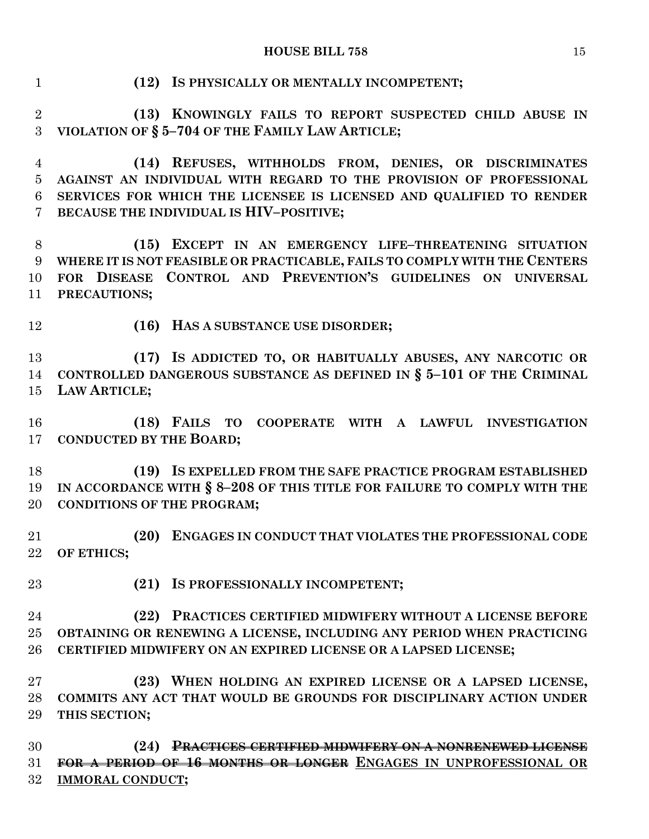| $\mathbf{1}$    | (12) IS PHYSICALLY OR MENTALLY INCOMPETENT;                                                                                                                         |
|-----------------|---------------------------------------------------------------------------------------------------------------------------------------------------------------------|
| $\sqrt{2}$      | (13) KNOWINGLY FAILS TO REPORT SUSPECTED CHILD ABUSE IN                                                                                                             |
| 3               | VIOLATION OF § 5-704 OF THE FAMILY LAW ARTICLE;                                                                                                                     |
| $\overline{4}$  | (14) REFUSES, WITHHOLDS FROM, DENIES, OR DISCRIMINATES                                                                                                              |
| $\bf 5$         | AGAINST AN INDIVIDUAL WITH REGARD TO THE PROVISION OF PROFESSIONAL                                                                                                  |
| $6\phantom{.}6$ | SERVICES FOR WHICH THE LICENSEE IS LICENSED AND QUALIFIED TO RENDER                                                                                                 |
| $\overline{7}$  | BECAUSE THE INDIVIDUAL IS HIV-POSITIVE;                                                                                                                             |
| $8\,$           | (15) EXCEPT IN AN EMERGENCY LIFE-THREATENING SITUATION                                                                                                              |
| 9               | WHERE IT IS NOT FEASIBLE OR PRACTICABLE, FAILS TO COMPLY WITH THE CENTERS                                                                                           |
| 10              | FOR DISEASE CONTROL AND PREVENTION'S GUIDELINES ON UNIVERSAL                                                                                                        |
| 11              | PRECAUTIONS;                                                                                                                                                        |
| 12              | (16) HAS A SUBSTANCE USE DISORDER;                                                                                                                                  |
| 13              | (17) IS ADDICTED TO, OR HABITUALLY ABUSES, ANY NARCOTIC OR                                                                                                          |
| 14              | CONTROLLED DANGEROUS SUBSTANCE AS DEFINED IN $\S$ 5-101 OF THE CRIMINAL                                                                                             |
| 15              | <b>LAW ARTICLE;</b>                                                                                                                                                 |
| 16              | (18) FAILS TO COOPERATE WITH A LAWFUL INVESTIGATION                                                                                                                 |
| 17              | <b>CONDUCTED BY THE BOARD;</b>                                                                                                                                      |
| 18              | (19) IS EXPELLED FROM THE SAFE PRACTICE PROGRAM ESTABLISHED                                                                                                         |
| 19              | IN ACCORDANCE WITH § 8-208 OF THIS TITLE FOR FAILURE TO COMPLY WITH THE                                                                                             |
| 20              | <b>CONDITIONS OF THE PROGRAM;</b>                                                                                                                                   |
| 21              | (20) ENGAGES IN CONDUCT THAT VIOLATES THE PROFESSIONAL CODE                                                                                                         |
| 22              | OF ETHICS;                                                                                                                                                          |
| 23              | (21) IS PROFESSIONALLY INCOMPETENT;                                                                                                                                 |
| 24              | (22) PRACTICES CERTIFIED MIDWIFERY WITHOUT A LICENSE BEFORE                                                                                                         |
| 25              | OBTAINING OR RENEWING A LICENSE, INCLUDING ANY PERIOD WHEN PRACTICING                                                                                               |
| 26              | CERTIFIED MIDWIFERY ON AN EXPIRED LICENSE OR A LAPSED LICENSE;                                                                                                      |
| 27              | (23) WHEN HOLDING AN EXPIRED LICENSE OR A LAPSED LICENSE,                                                                                                           |
| 28              | COMMITS ANY ACT THAT WOULD BE GROUNDS FOR DISCIPLINARY ACTION UNDER                                                                                                 |
| 29              | THIS SECTION;                                                                                                                                                       |
| 30<br>31<br>32  | <b>PRACTICES CERTIFIED MIDWIFERY ON A NONRENEWED LICENSE</b><br>(24)<br>FOR A PERIOD OF 16 MONTHS OR LONGER ENGAGES IN UNPROFESSIONAL OR<br><b>IMMORAL CONDUCT;</b> |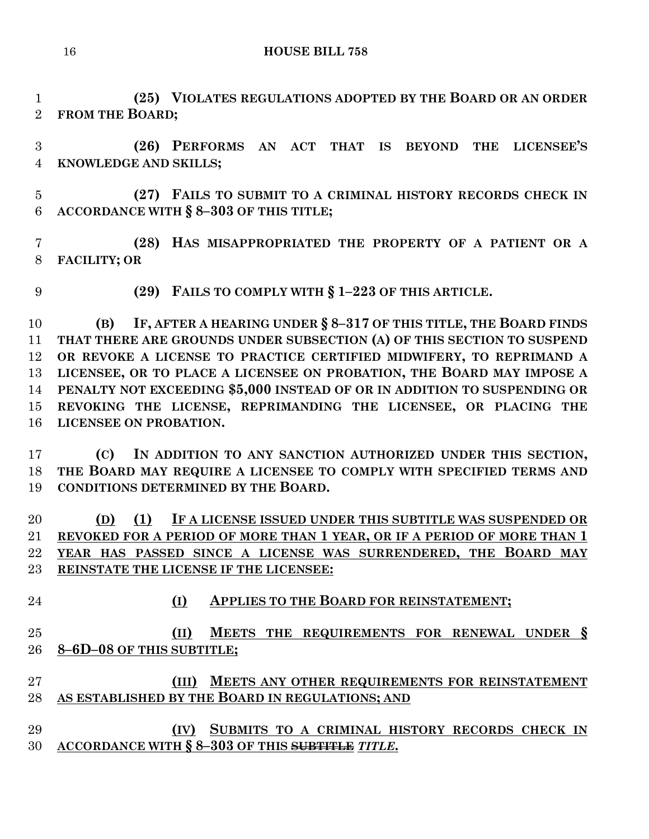**(25) VIOLATES REGULATIONS ADOPTED BY THE BOARD OR AN ORDER FROM THE BOARD;**

 **(26) PERFORMS AN ACT THAT IS BEYOND THE LICENSEE'S KNOWLEDGE AND SKILLS;**

 **(27) FAILS TO SUBMIT TO A CRIMINAL HISTORY RECORDS CHECK IN ACCORDANCE WITH § 8–303 OF THIS TITLE;**

 **(28) HAS MISAPPROPRIATED THE PROPERTY OF A PATIENT OR A FACILITY; OR** 

**(29) FAILS TO COMPLY WITH § 1–223 OF THIS ARTICLE.**

 **(B) IF, AFTER A HEARING UNDER § 8–317 OF THIS TITLE, THE BOARD FINDS THAT THERE ARE GROUNDS UNDER SUBSECTION (A) OF THIS SECTION TO SUSPEND OR REVOKE A LICENSE TO PRACTICE CERTIFIED MIDWIFERY, TO REPRIMAND A LICENSEE, OR TO PLACE A LICENSEE ON PROBATION, THE BOARD MAY IMPOSE A PENALTY NOT EXCEEDING \$5,000 INSTEAD OF OR IN ADDITION TO SUSPENDING OR REVOKING THE LICENSE, REPRIMANDING THE LICENSEE, OR PLACING THE LICENSEE ON PROBATION.**

 **(C) IN ADDITION TO ANY SANCTION AUTHORIZED UNDER THIS SECTION, THE BOARD MAY REQUIRE A LICENSEE TO COMPLY WITH SPECIFIED TERMS AND CONDITIONS DETERMINED BY THE BOARD.**

 **(D) (1) IF A LICENSE ISSUED UNDER THIS SUBTITLE WAS SUSPENDED OR REVOKED FOR A PERIOD OF MORE THAN 1 YEAR, OR IF A PERIOD OF MORE THAN 1 YEAR HAS PASSED SINCE A LICENSE WAS SURRENDERED, THE BOARD MAY REINSTATE THE LICENSE IF THE LICENSEE:**

**(I) APPLIES TO THE BOARD FOR REINSTATEMENT;**

### **(II) MEETS THE REQUIREMENTS FOR RENEWAL UNDER § 8–6D–08 OF THIS SUBTITLE;**

### **(III) MEETS ANY OTHER REQUIREMENTS FOR REINSTATEMENT AS ESTABLISHED BY THE BOARD IN REGULATIONS; AND**

 **(IV) SUBMITS TO A CRIMINAL HISTORY RECORDS CHECK IN ACCORDANCE WITH § 8–303 OF THIS SUBTITLE** *TITLE***.**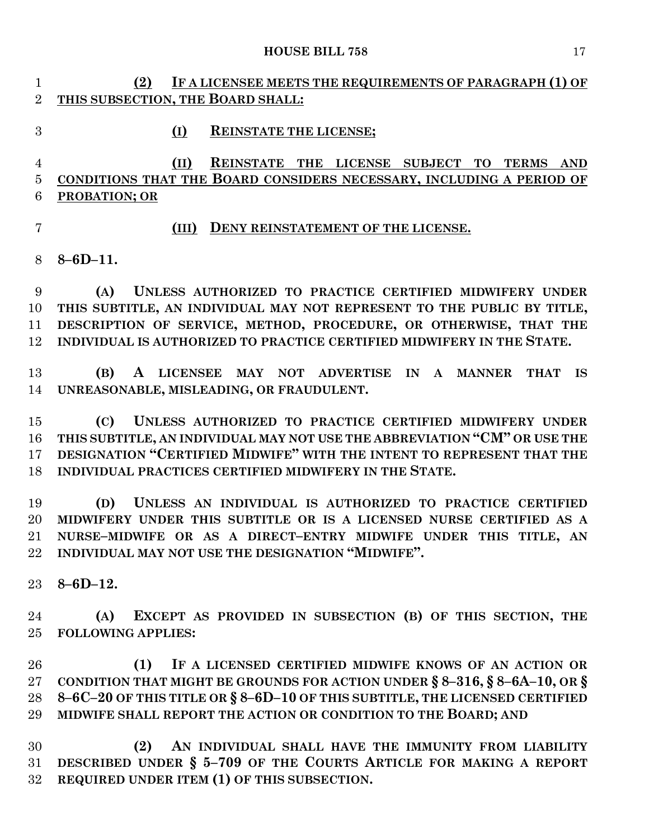- **(2) IF A LICENSEE MEETS THE REQUIREMENTS OF PARAGRAPH (1) OF THIS SUBSECTION, THE BOARD SHALL:**
- **(I) REINSTATE THE LICENSE;**

### **(II) REINSTATE THE LICENSE SUBJECT TO TERMS AND CONDITIONS THAT THE BOARD CONSIDERS NECESSARY, INCLUDING A PERIOD OF PROBATION; OR**

### **(III) DENY REINSTATEMENT OF THE LICENSE.**

**8–6D–11.**

 **(A) UNLESS AUTHORIZED TO PRACTICE CERTIFIED MIDWIFERY UNDER THIS SUBTITLE, AN INDIVIDUAL MAY NOT REPRESENT TO THE PUBLIC BY TITLE, DESCRIPTION OF SERVICE, METHOD, PROCEDURE, OR OTHERWISE, THAT THE INDIVIDUAL IS AUTHORIZED TO PRACTICE CERTIFIED MIDWIFERY IN THE STATE.**

 **(B) A LICENSEE MAY NOT ADVERTISE IN A MANNER THAT IS UNREASONABLE, MISLEADING, OR FRAUDULENT.**

 **(C) UNLESS AUTHORIZED TO PRACTICE CERTIFIED MIDWIFERY UNDER THIS SUBTITLE, AN INDIVIDUAL MAY NOT USE THE ABBREVIATION "CM" OR USE THE DESIGNATION "CERTIFIED MIDWIFE" WITH THE INTENT TO REPRESENT THAT THE INDIVIDUAL PRACTICES CERTIFIED MIDWIFERY IN THE STATE.**

 **(D) UNLESS AN INDIVIDUAL IS AUTHORIZED TO PRACTICE CERTIFIED MIDWIFERY UNDER THIS SUBTITLE OR IS A LICENSED NURSE CERTIFIED AS A NURSE–MIDWIFE OR AS A DIRECT–ENTRY MIDWIFE UNDER THIS TITLE, AN INDIVIDUAL MAY NOT USE THE DESIGNATION "MIDWIFE".**

**8–6D–12.**

 **(A) EXCEPT AS PROVIDED IN SUBSECTION (B) OF THIS SECTION, THE FOLLOWING APPLIES:**

 **(1) IF A LICENSED CERTIFIED MIDWIFE KNOWS OF AN ACTION OR CONDITION THAT MIGHT BE GROUNDS FOR ACTION UNDER § 8–316, § 8–6A–10, OR § 8–6C–20 OF THIS TITLE OR § 8–6D–10 OF THIS SUBTITLE, THE LICENSED CERTIFIED MIDWIFE SHALL REPORT THE ACTION OR CONDITION TO THE BOARD; AND** 

 **(2) AN INDIVIDUAL SHALL HAVE THE IMMUNITY FROM LIABILITY DESCRIBED UNDER § 5–709 OF THE COURTS ARTICLE FOR MAKING A REPORT REQUIRED UNDER ITEM (1) OF THIS SUBSECTION.**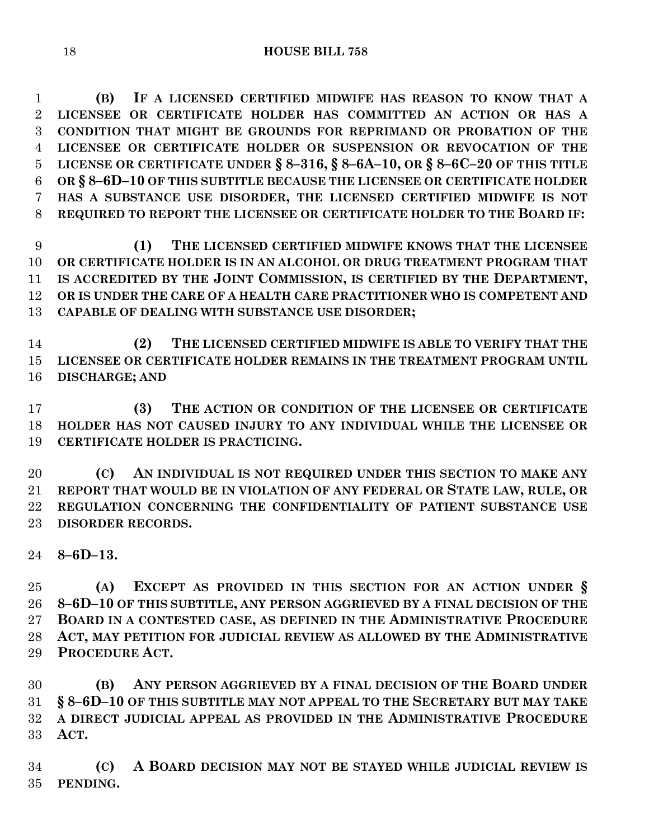**(B) IF A LICENSED CERTIFIED MIDWIFE HAS REASON TO KNOW THAT A LICENSEE OR CERTIFICATE HOLDER HAS COMMITTED AN ACTION OR HAS A CONDITION THAT MIGHT BE GROUNDS FOR REPRIMAND OR PROBATION OF THE LICENSEE OR CERTIFICATE HOLDER OR SUSPENSION OR REVOCATION OF THE LICENSE OR CERTIFICATE UNDER § 8–316, § 8–6A–10, OR § 8–6C–20 OF THIS TITLE OR § 8–6D–10 OF THIS SUBTITLE BECAUSE THE LICENSEE OR CERTIFICATE HOLDER HAS A SUBSTANCE USE DISORDER, THE LICENSED CERTIFIED MIDWIFE IS NOT REQUIRED TO REPORT THE LICENSEE OR CERTIFICATE HOLDER TO THE BOARD IF:**

 **(1) THE LICENSED CERTIFIED MIDWIFE KNOWS THAT THE LICENSEE OR CERTIFICATE HOLDER IS IN AN ALCOHOL OR DRUG TREATMENT PROGRAM THAT IS ACCREDITED BY THE JOINT COMMISSION, IS CERTIFIED BY THE DEPARTMENT, OR IS UNDER THE CARE OF A HEALTH CARE PRACTITIONER WHO IS COMPETENT AND CAPABLE OF DEALING WITH SUBSTANCE USE DISORDER;**

 **(2) THE LICENSED CERTIFIED MIDWIFE IS ABLE TO VERIFY THAT THE LICENSEE OR CERTIFICATE HOLDER REMAINS IN THE TREATMENT PROGRAM UNTIL DISCHARGE; AND** 

 **(3) THE ACTION OR CONDITION OF THE LICENSEE OR CERTIFICATE HOLDER HAS NOT CAUSED INJURY TO ANY INDIVIDUAL WHILE THE LICENSEE OR CERTIFICATE HOLDER IS PRACTICING.**

 **(C) AN INDIVIDUAL IS NOT REQUIRED UNDER THIS SECTION TO MAKE ANY REPORT THAT WOULD BE IN VIOLATION OF ANY FEDERAL OR STATE LAW, RULE, OR REGULATION CONCERNING THE CONFIDENTIALITY OF PATIENT SUBSTANCE USE DISORDER RECORDS.**

**8–6D–13.**

 **(A) EXCEPT AS PROVIDED IN THIS SECTION FOR AN ACTION UNDER § 8–6D–10 OF THIS SUBTITLE, ANY PERSON AGGRIEVED BY A FINAL DECISION OF THE BOARD IN A CONTESTED CASE, AS DEFINED IN THE ADMINISTRATIVE PROCEDURE ACT, MAY PETITION FOR JUDICIAL REVIEW AS ALLOWED BY THE ADMINISTRATIVE PROCEDURE ACT.**

 **(B) ANY PERSON AGGRIEVED BY A FINAL DECISION OF THE BOARD UNDER § 8–6D–10 OF THIS SUBTITLE MAY NOT APPEAL TO THE SECRETARY BUT MAY TAKE A DIRECT JUDICIAL APPEAL AS PROVIDED IN THE ADMINISTRATIVE PROCEDURE ACT.**

 **(C) A BOARD DECISION MAY NOT BE STAYED WHILE JUDICIAL REVIEW IS PENDING.**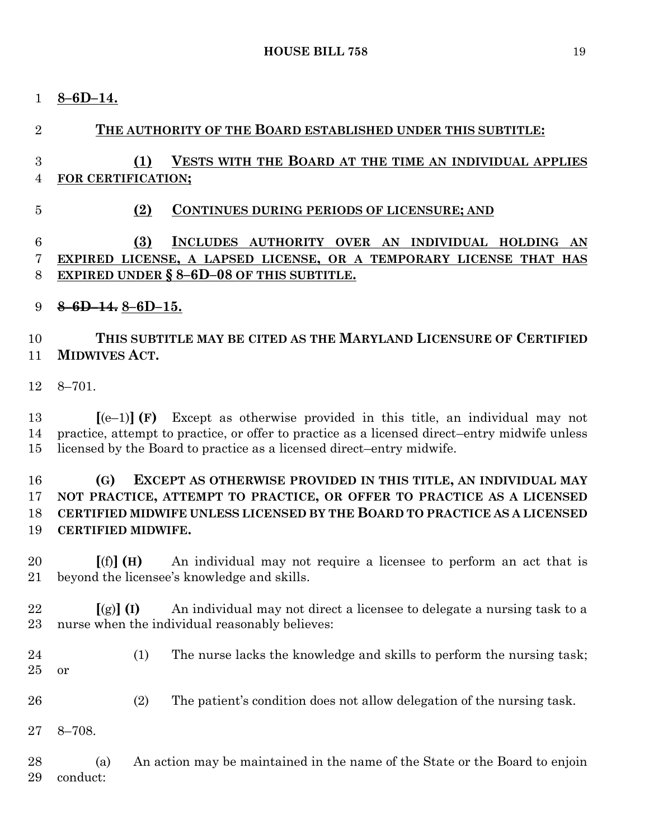**8–6D–14.**

# **THE AUTHORITY OF THE BOARD ESTABLISHED UNDER THIS SUBTITLE: (1) VESTS WITH THE BOARD AT THE TIME AN INDIVIDUAL APPLIES FOR CERTIFICATION; (2) CONTINUES DURING PERIODS OF LICENSURE; AND (3) INCLUDES AUTHORITY OVER AN INDIVIDUAL HOLDING AN EXPIRED LICENSE, A LAPSED LICENSE, OR A TEMPORARY LICENSE THAT HAS EXPIRED UNDER § 8–6D–08 OF THIS SUBTITLE. 8–6D–14. 8–6D–15. THIS SUBTITLE MAY BE CITED AS THE MARYLAND LICENSURE OF CERTIFIED MIDWIVES ACT.** 8–701. **[**(e–1)**] (F)** Except as otherwise provided in this title, an individual may not practice, attempt to practice, or offer to practice as a licensed direct–entry midwife unless licensed by the Board to practice as a licensed direct–entry midwife. **(G) EXCEPT AS OTHERWISE PROVIDED IN THIS TITLE, AN INDIVIDUAL MAY NOT PRACTICE, ATTEMPT TO PRACTICE, OR OFFER TO PRACTICE AS A LICENSED CERTIFIED MIDWIFE UNLESS LICENSED BY THE BOARD TO PRACTICE AS A LICENSED CERTIFIED MIDWIFE. [**(f)**] (H)** An individual may not require a licensee to perform an act that is beyond the licensee's knowledge and skills. 22  $\left[\left(g\right)\right]$  **(I)** An individual may not direct a licensee to delegate a nursing task to a nurse when the individual reasonably believes: (1) The nurse lacks the knowledge and skills to perform the nursing task; or (2) The patient's condition does not allow delegation of the nursing task. 8–708. (a) An action may be maintained in the name of the State or the Board to enjoin conduct: